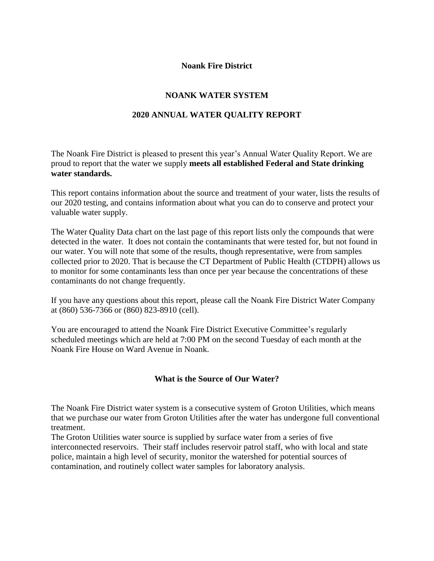## **Noank Fire District**

# **NOANK WATER SYSTEM**

## **2020 ANNUAL WATER QUALITY REPORT**

The Noank Fire District is pleased to present this year's Annual Water Quality Report. We are proud to report that the water we supply **meets all established Federal and State drinking water standards.**

This report contains information about the source and treatment of your water, lists the results of our 2020 testing, and contains information about what you can do to conserve and protect your valuable water supply.

The Water Quality Data chart on the last page of this report lists only the compounds that were detected in the water. It does not contain the contaminants that were tested for, but not found in our water. You will note that some of the results, though representative, were from samples collected prior to 2020. That is because the CT Department of Public Health (CTDPH) allows us to monitor for some contaminants less than once per year because the concentrations of these contaminants do not change frequently.

If you have any questions about this report, please call the Noank Fire District Water Company at (860) 536-7366 or (860) 823-8910 (cell).

You are encouraged to attend the Noank Fire District Executive Committee's regularly scheduled meetings which are held at 7:00 PM on the second Tuesday of each month at the Noank Fire House on Ward Avenue in Noank.

### **What is the Source of Our Water?**

The Noank Fire District water system is a consecutive system of Groton Utilities, which means that we purchase our water from Groton Utilities after the water has undergone full conventional treatment.

The Groton Utilities water source is supplied by surface water from a series of five interconnected reservoirs. Their staff includes reservoir patrol staff, who with local and state police, maintain a high level of security, monitor the watershed for potential sources of contamination, and routinely collect water samples for laboratory analysis.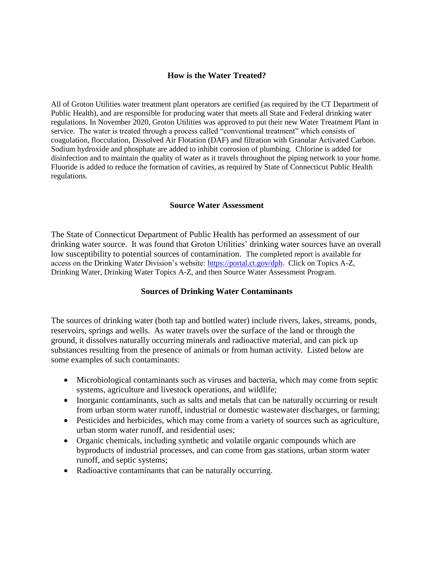## **How is the Water Treated?**

All of Groton Utilities water treatment plant operators are certified (as required by the CT Department of Public Health), and are responsible for producing water that meets all State and Federal drinking water regulations. In November 2020, Groton Utilities was approved to put their new Water Treatment Plant in service. The water is treated through a process called "conventional treatment" which consists of coagulation, flocculation, Dissolved Air Flotation (DAF) and filtration with Granular Activated Carbon. Sodium hydroxide and phosphate are added to inhibit corrosion of plumbing. Chlorine is added for disinfection and to maintain the quality of water as it travels throughout the piping network to your home. Fluoride is added to reduce the formation of cavities, as required by State of Connecticut Public Health regulations.

#### **Source Water Assessment**

The State of Connecticut Department of Public Health has performed an assessment of our drinking water source. It was found that Groton Utilities' drinking water sources have an overall low susceptibility to potential sources of contamination. The completed report is available for access on the Drinking Water Division's website: [https://portal.ct.gov/dph.](https://portal.ct.gov/dph) Click on Topics A-Z, Drinking Water, Drinking Water Topics A-Z, and then Source Water Assessment Program.

#### **Sources of Drinking Water Contaminants**

The sources of drinking water (both tap and bottled water) include rivers, lakes, streams, ponds, reservoirs, springs and wells. As water travels over the surface of the land or through the ground, it dissolves naturally occurring minerals and radioactive material, and can pick up substances resulting from the presence of animals or from human activity. Listed below are some examples of such contaminants:

- Microbiological contaminants such as viruses and bacteria, which may come from septic systems, agriculture and livestock operations, and wildlife;
- Inorganic contaminants, such as salts and metals that can be naturally occurring or result from urban storm water runoff, industrial or domestic wastewater discharges, or farming;
- Pesticides and herbicides, which may come from a variety of sources such as agriculture, urban storm water runoff, and residential uses;
- Organic chemicals, including synthetic and volatile organic compounds which are byproducts of industrial processes, and can come from gas stations, urban storm water runoff, and septic systems;
- Radioactive contaminants that can be naturally occurring.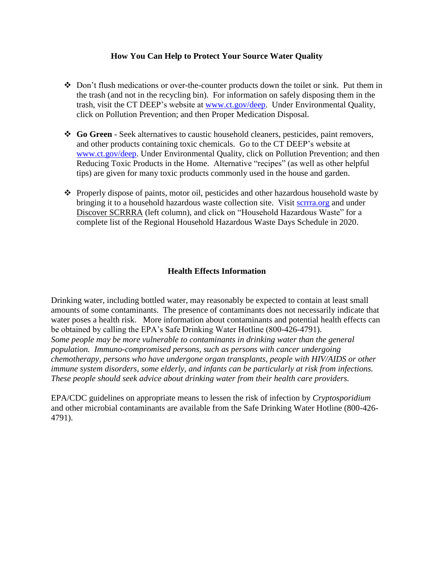### **How You Can Help to Protect Your Source Water Quality**

- $\div$  Don't flush medications or over-the-counter products down the toilet or sink. Put them in the trash (and not in the recycling bin). For information on safely disposing them in the trash, visit the CT DEEP's website at [www.ct.gov/deep.](http://www.ct.gov/deep) Under Environmental Quality, click on Pollution Prevention; and then Proper Medication Disposal.
- **Go Green** Seek alternatives to caustic household cleaners, pesticides, paint removers, and other products containing toxic chemicals. Go to the CT DEEP's website at [www.ct.gov/deep.](http://www.ct.gov/deep) Under Environmental Quality, click on Pollution Prevention; and then Reducing Toxic Products in the Home. Alternative "recipes" (as well as other helpful tips) are given for many toxic products commonly used in the house and garden.
- $\bullet$  Properly dispose of paints, motor oil, pesticides and other hazardous household waste by bringing it to a household hazardous waste collection site. Visit [scrrra.org](http://groton-ct.gov/depts/pubwks/transfer.asp) and under Discover SCRRRA (left column), and click on "Household Hazardous Waste" for a complete list of the Regional Household Hazardous Waste Days Schedule in 2020.

## **Health Effects Information**

Drinking water, including bottled water, may reasonably be expected to contain at least small amounts of some contaminants. The presence of contaminants does not necessarily indicate that water poses a health risk. More information about contaminants and potential health effects can be obtained by calling the EPA's Safe Drinking Water Hotline (800-426-4791). *Some people may be more vulnerable to contaminants in drinking water than the general population. Immuno-compromised persons, such as persons with cancer undergoing chemotherapy, persons who have undergone organ transplants, people with HIV/AIDS or other immune system disorders, some elderly, and infants can be particularly at risk from infections. These people should seek advice about drinking water from their health care providers.*

EPA/CDC guidelines on appropriate means to lessen the risk of infection by *Cryptosporidium*  and other microbial contaminants are available from the Safe Drinking Water Hotline (800-426- 4791).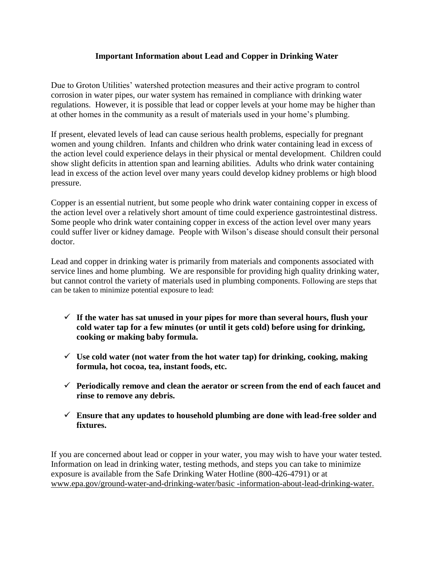## **Important Information about Lead and Copper in Drinking Water**

Due to Groton Utilities' watershed protection measures and their active program to control corrosion in water pipes, our water system has remained in compliance with drinking water regulations. However, it is possible that lead or copper levels at your home may be higher than at other homes in the community as a result of materials used in your home's plumbing.

If present, elevated levels of lead can cause serious health problems, especially for pregnant women and young children. Infants and children who drink water containing lead in excess of the action level could experience delays in their physical or mental development. Children could show slight deficits in attention span and learning abilities. Adults who drink water containing lead in excess of the action level over many years could develop kidney problems or high blood pressure.

Copper is an essential nutrient, but some people who drink water containing copper in excess of the action level over a relatively short amount of time could experience gastrointestinal distress. Some people who drink water containing copper in excess of the action level over many years could suffer liver or kidney damage. People with Wilson's disease should consult their personal doctor.

Lead and copper in drinking water is primarily from materials and components associated with service lines and home plumbing. We are responsible for providing high quality drinking water, but cannot control the variety of materials used in plumbing components. Following are steps that can be taken to minimize potential exposure to lead:

- $\checkmark$  If the water has sat unused in your pipes for more than several hours, flush your **cold water tap for a few minutes (or until it gets cold) before using for drinking, cooking or making baby formula.**
- **Use cold water (not water from the hot water tap) for drinking, cooking, making formula, hot cocoa, tea, instant foods, etc.**
- **Periodically remove and clean the aerator or screen from the end of each faucet and rinse to remove any debris.**
- **Ensure that any updates to household plumbing are done with lead-free solder and fixtures.**

If you are concerned about lead or copper in your water, you may wish to have your water tested. Information on lead in drinking water, testing methods, and steps you can take to minimize exposure is available from the Safe Drinking Water Hotline (800-426-4791) or at www.epa.gov/ground-water-and-drinking-water/basic -information-about-lead-drinking-water.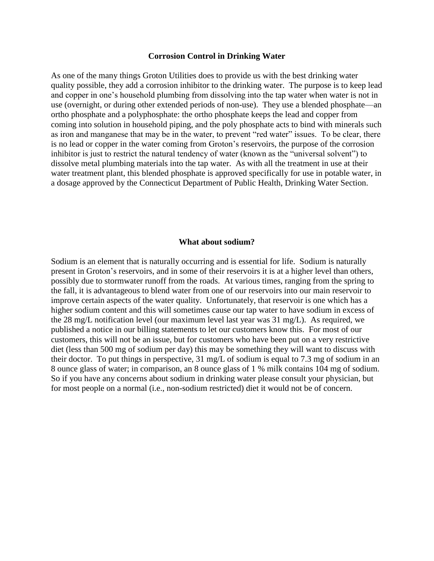#### **Corrosion Control in Drinking Water**

As one of the many things Groton Utilities does to provide us with the best drinking water quality possible, they add a corrosion inhibitor to the drinking water. The purpose is to keep lead and copper in one's household plumbing from dissolving into the tap water when water is not in use (overnight, or during other extended periods of non-use). They use a blended phosphate—an ortho phosphate and a polyphosphate: the ortho phosphate keeps the lead and copper from coming into solution in household piping, and the poly phosphate acts to bind with minerals such as iron and manganese that may be in the water, to prevent "red water" issues. To be clear, there is no lead or copper in the water coming from Groton's reservoirs, the purpose of the corrosion inhibitor is just to restrict the natural tendency of water (known as the "universal solvent") to dissolve metal plumbing materials into the tap water. As with all the treatment in use at their water treatment plant, this blended phosphate is approved specifically for use in potable water, in a dosage approved by the Connecticut Department of Public Health, Drinking Water Section.

#### **What about sodium?**

Sodium is an element that is naturally occurring and is essential for life. Sodium is naturally present in Groton's reservoirs, and in some of their reservoirs it is at a higher level than others, possibly due to stormwater runoff from the roads. At various times, ranging from the spring to the fall, it is advantageous to blend water from one of our reservoirs into our main reservoir to improve certain aspects of the water quality. Unfortunately, that reservoir is one which has a higher sodium content and this will sometimes cause our tap water to have sodium in excess of the 28 mg/L notification level (our maximum level last year was 31 mg/L). As required, we published a notice in our billing statements to let our customers know this. For most of our customers, this will not be an issue, but for customers who have been put on a very restrictive diet (less than 500 mg of sodium per day) this may be something they will want to discuss with their doctor. To put things in perspective, 31 mg/L of sodium is equal to 7.3 mg of sodium in an 8 ounce glass of water; in comparison, an 8 ounce glass of 1 % milk contains 104 mg of sodium. So if you have any concerns about sodium in drinking water please consult your physician, but for most people on a normal (i.e., non-sodium restricted) diet it would not be of concern.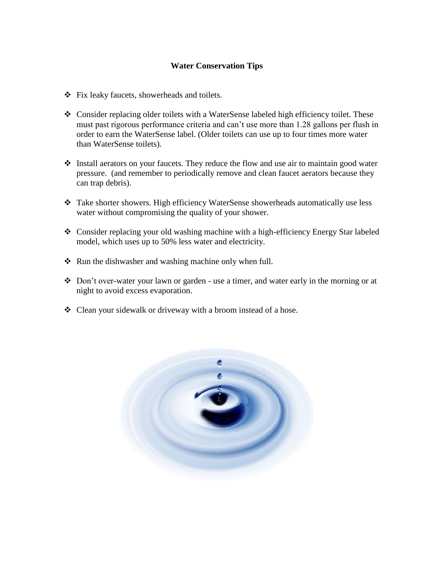## **Water Conservation Tips**

- Fix leaky faucets, showerheads and toilets.
- $\bullet$  Consider replacing older toilets with a WaterSense labeled high efficiency toilet. These must past rigorous performance criteria and can't use more than 1.28 gallons per flush in order to earn the WaterSense label. (Older toilets can use up to four times more water than WaterSense toilets).
- Install aerators on your faucets. They reduce the flow and use air to maintain good water pressure. (and remember to periodically remove and clean faucet aerators because they can trap debris).
- Take shorter showers. High efficiency WaterSense showerheads automatically use less water without compromising the quality of your shower.
- Consider replacing your old washing machine with a high-efficiency Energy Star labeled model, which uses up to 50% less water and electricity.
- $\triangle$  Run the dishwasher and washing machine only when full.
- Don't over-water your lawn or garden use a timer, and water early in the morning or at night to avoid excess evaporation.
- Clean your sidewalk or driveway with a broom instead of a hose.